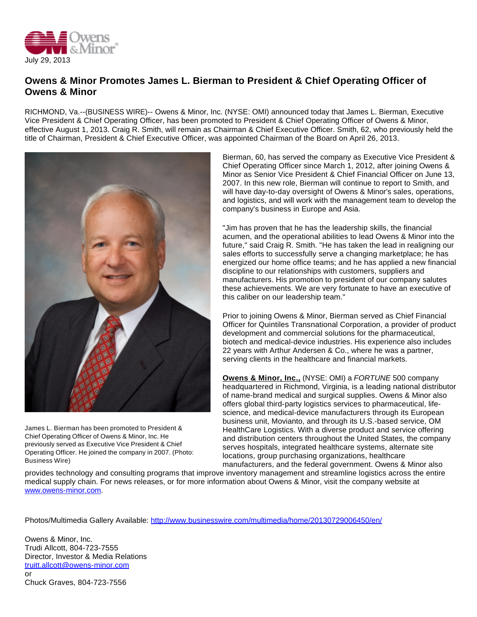

## **Owens & Minor Promotes James L. Bierman to President & Chief Operating Officer of Owens & Minor**

RICHMOND, Va.--(BUSINESS WIRE)-- Owens & Minor, Inc. (NYSE: OMI) announced today that James L. Bierman, Executive Vice President & Chief Operating Officer, has been promoted to President & Chief Operating Officer of Owens & Minor, effective August 1, 2013. Craig R. Smith, will remain as Chairman & Chief Executive Officer. Smith, 62, who previously held the title of Chairman, President & Chief Executive Officer, was appointed Chairman of the Board on April 26, 2013.



James L. Bierman has been promoted to President & Chief Operating Officer of Owens & Minor, Inc. He previously served as Executive Vice President & Chief Operating Officer. He joined the company in 2007. (Photo: Business Wire)

Bierman, 60, has served the company as Executive Vice President & Chief Operating Officer since March 1, 2012, after joining Owens & Minor as Senior Vice President & Chief Financial Officer on June 13, 2007. In this new role, Bierman will continue to report to Smith, and will have day-to-day oversight of Owens & Minor's sales, operations, and logistics, and will work with the management team to develop the company's business in Europe and Asia.

"Jim has proven that he has the leadership skills, the financial acumen, and the operational abilities to lead Owens & Minor into the future," said Craig R. Smith. "He has taken the lead in realigning our sales efforts to successfully serve a changing marketplace; he has energized our home office teams; and he has applied a new financial discipline to our relationships with customers, suppliers and manufacturers. His promotion to president of our company salutes these achievements. We are very fortunate to have an executive of this caliber on our leadership team."

Prior to joining Owens & Minor, Bierman served as Chief Financial Officer for Quintiles Transnational Corporation, a provider of product development and commercial solutions for the pharmaceutical, biotech and medical-device industries. His experience also includes 22 years with Arthur Andersen & Co., where he was a partner, serving clients in the healthcare and financial markets.

**Owens & Minor, Inc.,** (NYSE: OMI) a FORTUNE 500 company headquartered in Richmond, Virginia, is a leading national distributor of name-brand medical and surgical supplies. Owens & Minor also offers global third-party logistics services to pharmaceutical, lifescience, and medical-device manufacturers through its European business unit, Movianto, and through its U.S.-based service, OM HealthCare Logistics. With a diverse product and service offering and distribution centers throughout the United States, the company serves hospitals, integrated healthcare systems, alternate site locations, group purchasing organizations, healthcare manufacturers, and the federal government. Owens & Minor also

provides technology and consulting programs that improve inventory management and streamline logistics across the entire medical supply chain. For news releases, or for more information about Owens & Minor, visit the company website at [www.owens-minor.com.](http://cts.businesswire.com/ct/CT?id=smartlink&url=http%3A%2F%2Fwww.owens-minor.com&esheet=50679286&newsitemid=20130729006450&lan=en-US&anchor=www.owens-minor.com&index=1&md5=98294851e450849474238740ae4ff515)

Photos/Multimedia Gallery Available: <http://www.businesswire.com/multimedia/home/20130729006450/en/>

Owens & Minor, Inc. Trudi Allcott, 804-723-7555 Director, Investor & Media Relations [truitt.allcott@owens-minor.com](mailto:truitt.allcott@owens-minor.com) or Chuck Graves, 804-723-7556